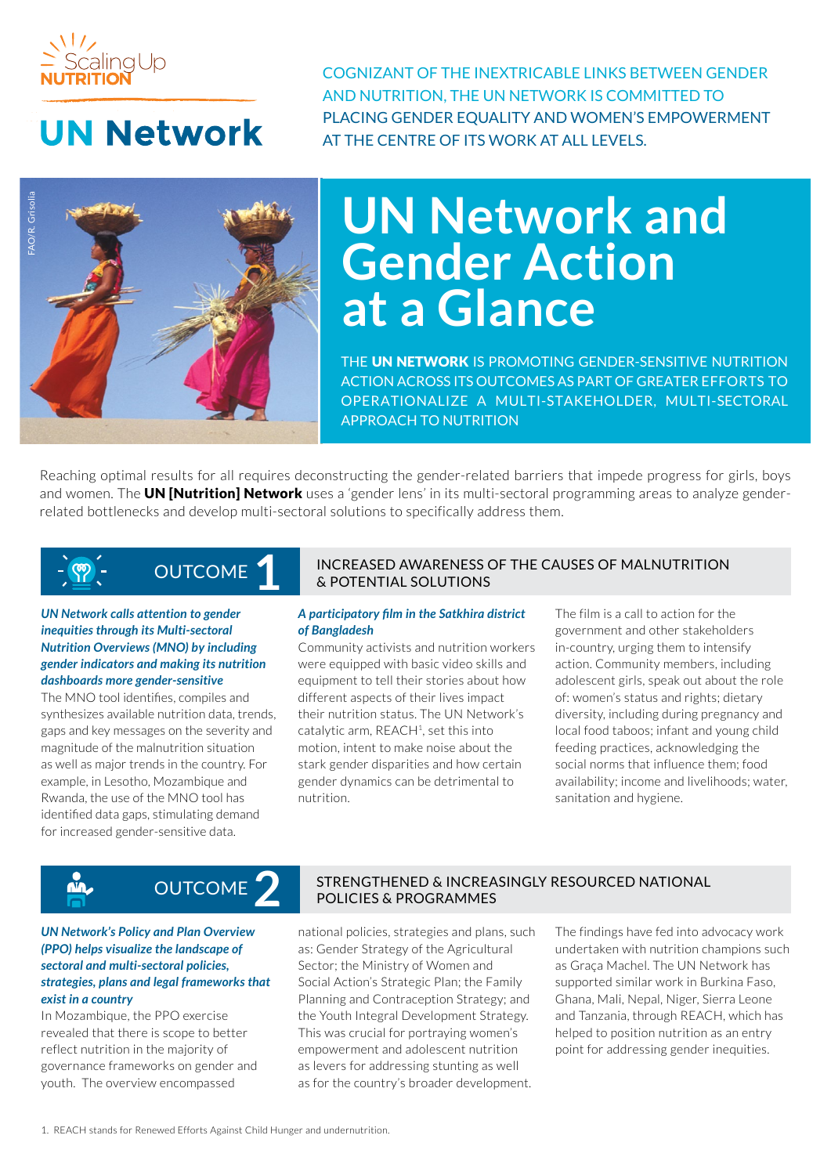

## **UN Network**

COGNIZANT OF THE INEXTRICABLE LINKS BETWEEN GENDER AND NUTRITION, THE UN NETWORK IS COMMITTED TO PLACING GENDER EQUALITY AND WOMEN'S EMPOWERMENT AT THE CENTRE OF ITS WORK AT ALL LEVELS.



# **UN Network and Gender Action at a Glance**

THE UN NETWORK IS PROMOTING GENDER-SENSITIVE NUTRITION ACTION ACROSS ITS OUTCOMES AS PART OF GREATER EFFORTS TO OPERATIONALIZE A MULTI-STAKEHOLDER, MULTI-SECTORAL APPROACH TO NUTRITION

Reaching optimal results for all requires deconstructing the gender-related barriers that impede progress for girls, boys and women. The **UN [Nutrition] Network** uses a 'gender lens' in its multi-sectoral programming areas to analyze genderrelated bottlenecks and develop multi-sectoral solutions to specifically address them.

### OUTCOME **1**

*UN Network calls attention to gender inequities through its Multi-sectoral Nutrition Overviews (MNO) by including gender indicators and making its nutrition dashboards more gender-sensitive*

The MNO tool identifies, compiles and synthesizes available nutrition data, trends, gaps and key messages on the severity and magnitude of the malnutrition situation as well as major trends in the country. For example, in Lesotho, Mozambique and Rwanda, the use of the MNO tool has identified data gaps, stimulating demand for increased gender-sensitive data.

### INCREASED AWARENESS OF THE CAUSES OF MALNUTRITION & POTENTIAL SOLUTIONS

### *A participatory film in the Satkhira district of Bangladesh*

Community activists and nutrition workers were equipped with basic video skills and equipment to tell their stories about how different aspects of their lives impact their nutrition status. The UN Network's catalytic arm, REACH<sup>1</sup>, set this into motion, intent to make noise about the stark gender disparities and how certain gender dynamics can be detrimental to nutrition.

The film is a call to action for the government and other stakeholders in-country, urging them to intensify action. Community members, including adolescent girls, speak out about the role of: women's status and rights; dietary diversity, including during pregnancy and local food taboos; infant and young child feeding practices, acknowledging the social norms that influence them; food availability; income and livelihoods; water, sanitation and hygiene.

### *UN Network's Policy and Plan Overview (PPO) helps visualize the landscape of sectoral and multi-sectoral policies, strategies, plans and legal frameworks that exist in a country*

 $\sum_{n=1}^{\infty}$ 

In Mozambique, the PPO exercise revealed that there is scope to better reflect nutrition in the majority of governance frameworks on gender and youth. The overview encompassed

### STRENGTHENED & INCREASINGLY RESOURCED NATIONAL **POLICIES & PROGRAMMES** OUTCOME

national policies, strategies and plans, such as: Gender Strategy of the Agricultural Sector; the Ministry of Women and Social Action's Strategic Plan; the Family Planning and Contraception Strategy; and the Youth Integral Development Strategy. This was crucial for portraying women's empowerment and adolescent nutrition as levers for addressing stunting as well as for the country's broader development.

The findings have fed into advocacy work undertaken with nutrition champions such as Graça Machel. The UN Network has supported similar work in Burkina Faso, Ghana, Mali, Nepal, Niger, Sierra Leone and Tanzania, through REACH, which has helped to position nutrition as an entry point for addressing gender inequities.